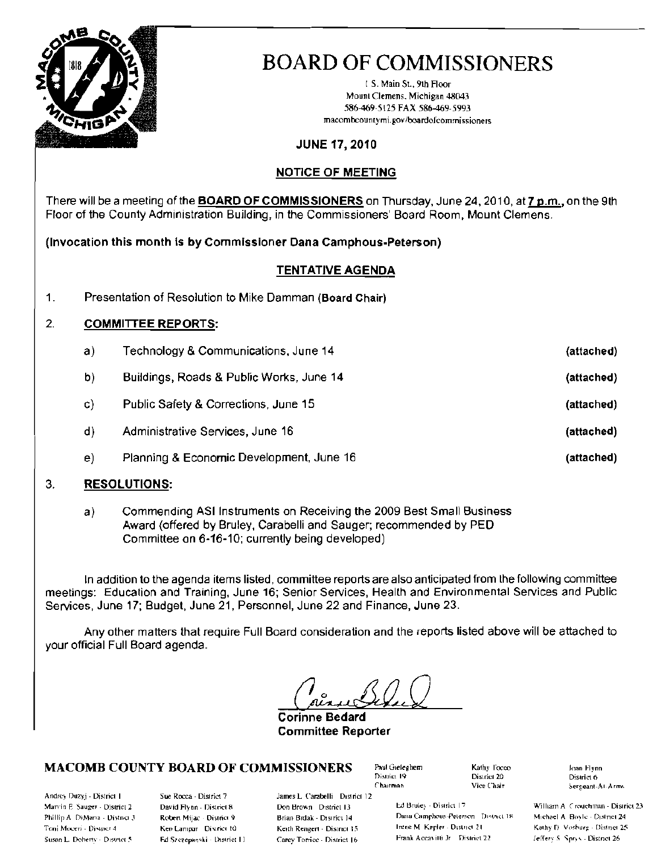

I S. Main 51., 9th Floor Mount Clemens, Michigan 48043 586-469- 5125 FAX 586-469- 5993 macombcountymi.gov/boardofcommissioners

### JUNE 17, 2010

### NOTICE OF MEETING

There will be a meeting of the **BOARD OF COMMISSIONERS** on Thursday, June 24, 2010, at 7 p.m., on the 9th Floor of the County Administration Building, in the Commissioners' Board Room, Mount Clemens.

(Invocation this month is by Commissioner Dana Camphous-Peterson)

### TENTATIVE AGENOA

1. Presentation of Resolution to Mike Damman (Board Chair)

### 2. COMMITTEE REPORTS:

| a) | Fechnology & Communications, June 14     | (attached) |
|----|------------------------------------------|------------|
| b) | Buildings, Roads & Public Works, June 14 | (attached) |
| C) | Public Safety & Corrections, June 15     | (attached) |
| d) | Administrative Services, June 16         | (attached) |
| e) | Planning & Economic Development, June 16 | (attached) |
|    |                                          |            |

### 3. RESOLUTIONS:

a) Commending ASllnstruments on Receiving the 2009 Best Small Business Award (offered by Bruley, Carabelli and Sauger; recommended by PED Committee on 6-16-10: currently being developed)

In addition to the agenda items listed, committee reports are also anticipated from the following committee meetings: Education and Training, June 16; Senior Services, Heallh and Environmental Services and Public Services, June 17; BUdget, June 21, Personnel, June 22 and Finance, June 23.

Any other matters that require Full Board consideration and the reports listed above will be attached to your official Full Board agenda.

Corinne Bedard Committee Reporter

### $MACOMB$  COUNTY BOARD OF COMMISSIONERS  $P_{\text{sub}}$  and Gieleghem  $P_{\text{sub}}$  rocco Joan Flynn

Andrey Duzyj - District I Sue Rocca - District 7 James L. Carabelli District 12 Marvin F. Sauger - District 2 Devid Flynn - District 8 Don Brown District 13 hd Brule: - District 17 William A (reuchman - District 23

District 6 Chairman Mice Chair "Yice Chair" (Sergeant-At-Arms

Phillip A DiMana - Distoct 3 - Robert Mijac District 9 - Brian Brdak - District 14 - Dana Camphous-Peterson District 18 - Michael A Royle - District 24 - I)<br>Toni Moceri - District 4 - Ken Lammar - District 10 - - - - - - M Toni Moceri - District 4 (1987), Ken Lampar District 10 (1988), Keth Rengert - District 15 little M. Kepler - District 21 (1988), Machine 2. 10 (1988), Machine 2. 2008, Machine 2. 2008, Machine 2.2. [1] Moceri 2.1. [1] Lit Susan L. Doberty - District 5 - Fd Szczepanski - District II - Carey Torrice - District 16 - Frank Aceavitti Jr - District 22 - Jeffery S. Sprys - District 26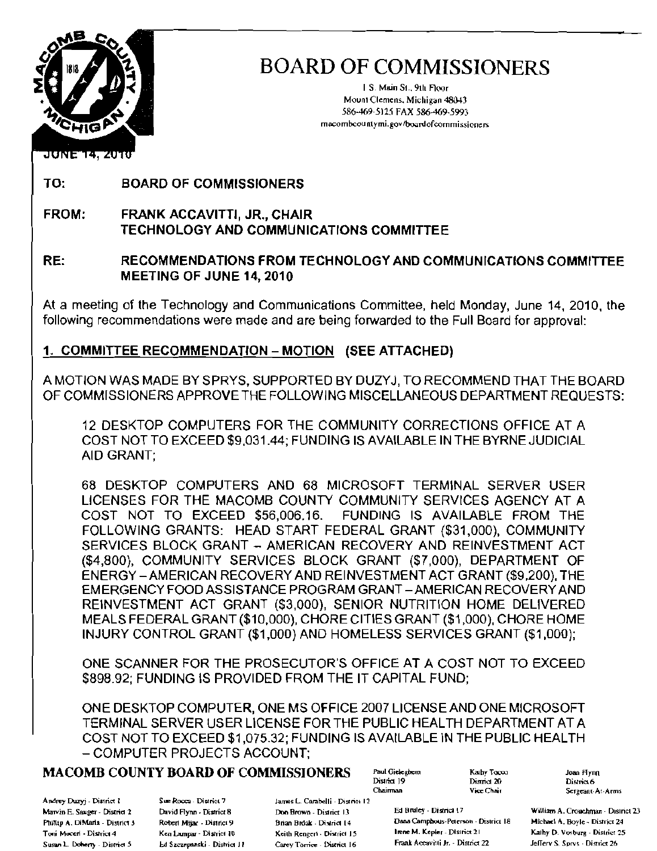

I S Main 5t.. 9th Floor Mount Clemens, Michigan 48043 586-469-5125 FAX 586-469-5993 macombcountymi.gov/boardofcommissioners

### **JUNE 14, 2010**

TO: BOARD OF COMMISSIONERS

FROM: FRANK ACCAVITTI, JR., CHAIR TECHNOLOGY AND COMMUNICATIONS COMMITTEE

### RE: RECOMMENDATIONS FROM TECHNOLOGY AND COMMUNICATIONS COMMITTEE MEETING OF JUNE 14,2010

At a meeting of the Technology and Communications Committee, held Monday, June 14,2010, the following recommendations were made and are being forwarded to the Full Board for approval:

### 1. COMMITTEE RECOMMENDATION - MOTION (SEE ATTACHED)

A MOTION WAS MADE BY SPRYS, SUPPORTED BY DUZYJ, TO RECOMMEND THAT THE BOARD OF COMMISSIONERS APPROVE THE FOLLOWING MISCELLANEOUS DEPARTMENT REQUESTS:

12 DESKTOP COMPUTERS FOR THE COMMUNITY CORRECTIONS OFFICE AT A COST NOT TO EXCEED \$9,031.44; FUNDING IS AVAILABLE IN THE BYRNE JUDICIAL AID GRANT;

68 DESKTOP COMPUTERS AND 68 MICROSOFT TERMINAL SERVER USER LICENSES FOR THE MACOMB COUNTY COMMUNITY SERVICES AGENCY AT A COST NOT TO EXCEED \$56,006.16. FUNDING IS AVAILABLE FROM THE FOLLOWING GRANTS: HEAD START FEDERAL GRANT (\$31,000), COMMUNITY SERVICES BLOCK GRANT - AMERICAN RECOVERY AND REINVESTMENT ACT (\$4,800), COMMUNITY SERVICES BLOCK GRANT (\$7,000), DEPARTMENT OF ENERGY -AMERICAN RECOVERY AND REINVESTMENT ACT GRANT (\$9,200), THE EMERGENCY FOOD ASSISTANCE PROGRAM GRANT - AMERICAN RECOVERY AND REINVESTMENT ACT GRANT (\$3,000), SENIOR NUTRITION HOME DELIVERED MEALS FEDERAL GRANT (\$10,000), CHORE CITIES GRANT (\$1 ,000), CHORE HOME INJURY CONTROL GRANT (\$1,000) AND HOMELESS SERVICES GRANT (\$1,000);

ONE SCANNER FOR THE PROSECUTOR'S OFFICE AT A COST NOT TO EXCEED \$898.92; FUNDING IS PROVIDED FROM THE IT CAPITAL FUND;

ONE DESKTOP COMPUTER, ONE MS OFFICE 2007 LICENSE AND ONE MICROSOFT TERMINAL SERVER USER LICENSE FOR THE PUBLIC HEALTH DEPARTMENT AT A COST NOT TO EXCEED \$1,075.32; FUNDING IS AVAILABLE IN THE PUBLIC HEALTH - COMPUTER PROJECTS ACCOUNT;

### **MACOMB COUNTY BOARD OF COMMISSIONERS** Paul Gieleghern Kaulty Tocou

Andrey Duzyj - District I S. S. Rocca - District 7 James L. Carabelli - District 12

Susan L. Doherty - District 5 bd Szczepanski - District J I Carey Torrice - District J6 Frank Accavitti Jr. - District 22 Jellery S. Sprvs - District 26

Early Tocos (2018) Dean Hynn<br>District 20 (2018) District 6

Chairman Vice Chair Sergeant-At-Arms

Marvin E. Sauger - District 2 David Flynn - District 8 Don Brown - District 13 Ed Bruley - District 17 William A. Crouchman - District 23 Phillip A. DiMaria - District 3 Robert Mijac - District 9 Brian Brdak - District 14 Dana Camphous-Peterson - District 18 Michael A. Boyle - District 24 Toni Moceri - District 4 Ken Lampar - District 10 Keith Rengeri - District 15 Inne M. Kepler - District 21 Kathy D. Vosburg - District 25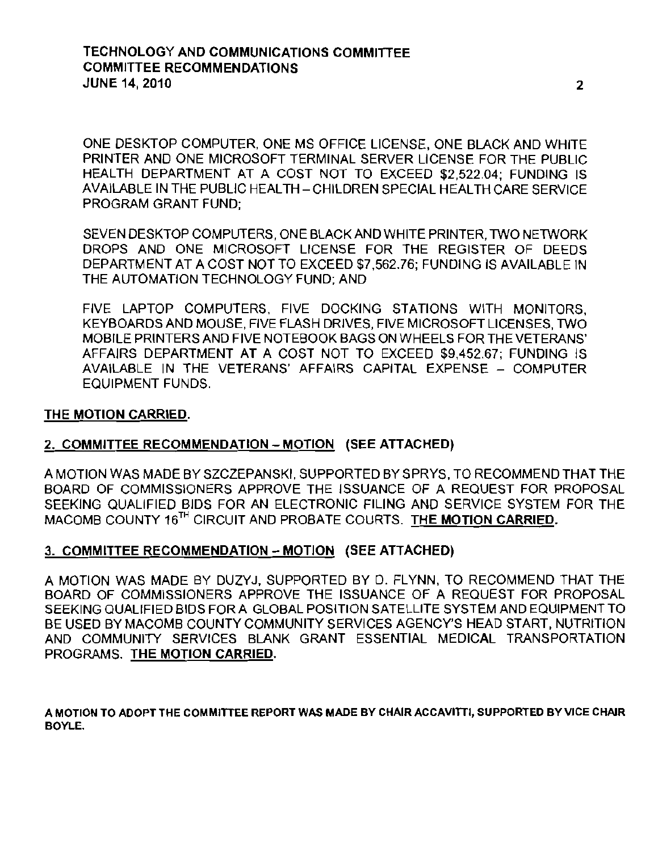ONE DESKTOP COMPUTER, ONE MS OFFICE LICENSE, ONE BLACK AND WHITE PRINTER AND ONE MICROSOFT TERMINAL SERVER LICENSE FOR THE PUBLIC HEALTH DEPARTMENT AT A COST NOT TO EXCEED \$2,522.04; FUNDING IS AVAILABLE IN THE PUBLIC HEALTH - CHILDREN SPECIAL HEALTH CARE SERVICE PROGRAM GRANT FUND;

SEVEN DESKTOP COMPUTERS, ONE BLACK AND WHITE PRINTER, TWO NETWORK DROPS AND ONE MICROSOFT LICENSE FOR THE REGISTER OF DEEDS DEPARTMENT AT A COST NOT TO EXCEED \$7,562.76; FUNDING IS AVAILABLE IN THE AUTOMATION TECHNOLOGY FUND; AND

FIVE LAPTOP COMPUTERS, FIVE DOCKING STATIONS WITH MONITORS, KEYBOARDS AND MOUSE, FIVE FLASH DRIVES, FIVE MICROSOFT LICENSES, TWO MOBILE PRINTERS AND FIVE NOTEBOOK BAGS ON WHEELS FOR THE VETERANS' AFFAIRS DEPARTMENT AT A COST NOT TO EXCEED \$9,452.67; FUNDING IS AVAILABLE IN THE VETERANS' AFFAIRS CAPITAL EXPENSE - COMPUTER EQUIPMENT FUNDS.

### THE MOTION CARRIED.

### 2. COMMITTEE RECOMMENDATION - MOTION (SEE ATTACHED)

A MOTION WAS MADE BY SZCZEPANSKI, SUPPORTED BY SPRYS, TO RECOMMEND THAT THE BOARD OF COMMISSIONERS APPROVE THE ISSUANCE OF A REQUEST FOR PROPOSAL SEEKING QUALIFIED BIDS FOR AN ELECTRONIC FILING AND SERVICE SYSTEM FOR THE MACOMB COUNTY 16<sup>TH</sup> CIRCUIT AND PROBATE COURTS. THE MOTION CARRIED.

### 3. COMMITTEE RECOMMENDATION - MOTION (SEE ATTACHED)

A MOTION WAS MADE BY DUZYJ, SUPPORTED BY D. FLYNN, TO RECOMMEND THAT THE BOARD OF COMMISSIONERS APPROVE THE ISSUANCE OF A REQUEST FOR PROPOSAL SEEKING QUALIFIED BIDS FOR A GLOBAL POSITION SATELLITE SYSTEM AND EQUIPMENT TO BE USED BY MACOMB COUNTY COMMUNITY SERVICES AGENCY'S HEAD START, NUTRITION AND COMMUNITY SERVICES BLANK GRANT ESSENTIAL MEDICAL TRANSPORTATION PROGRAMS. THE MOTION CARRIED.

A MOTION TO ADOPT THE COMMIITEE REPORT WAS MADE BY CHAIR ACCAVIITI. SUPPORTED BY VICE CHAIR BOYLE.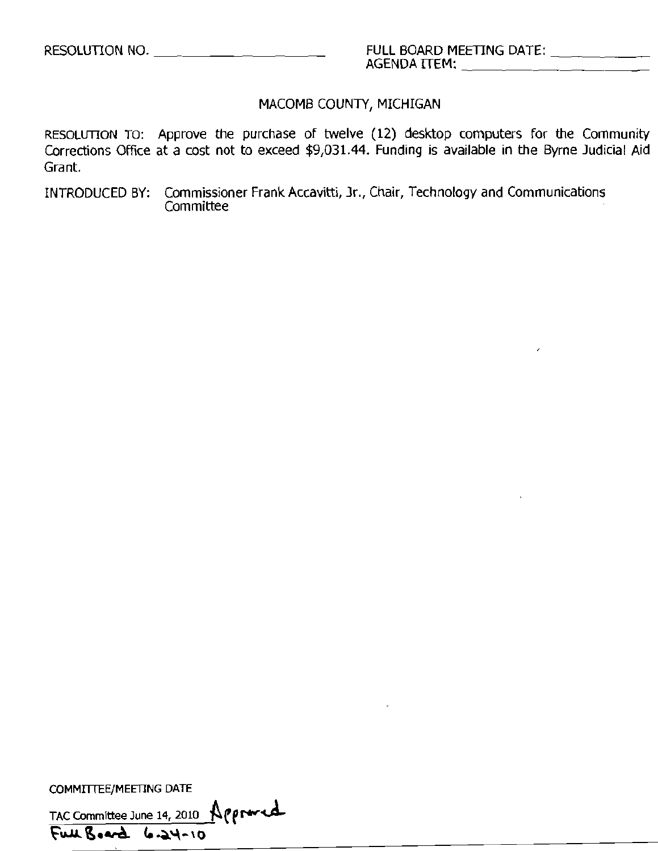### MACOMB COUNTY, MICHIGAN

RESOLUTION TO: Approve the purchase of twelve (12) desktop computers for the Community Corrections Office at a cost not to exceed \$9,031.44. Funding is available in the Byrne Judicial Aid Grant.

INTRODUCED BY: Commissioner Frank Accavitti, Jr., Chair, Technology and Communications **Committee** 

COMMITTEE/MEETING DATE

TAC Committee June 14, 2010  $\bigwedge$  proved Full Board 6.24-10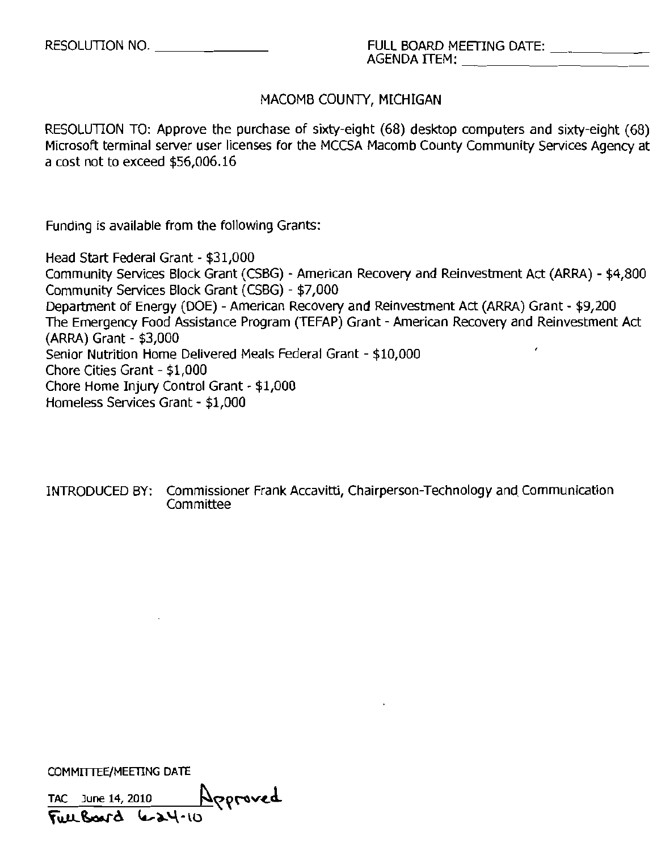### MACOMB COUNTY, MICHIGAN

RESOLUTION TO: Approve the purchase of sixty-eight (68) desktop computers and sixty-eight (68) Microsoft terminal server user licenses for the MCCSA Macomb County Community Services Agency at a cost not to exceed \$56,006.16

Funding is available from the following Grants:

Head Start Federal Grant - \$31,000 Community Services Block Grant (CSBG) - American Recovery and Reinvestment Act (ARRA) - \$4,800 Community Services Block Grant (CSBG) - \$7,000 Department of Energy (DOE) - American Recovery and Reinvestment Act (ARRA) Grant - \$9,200 The Emergency Food Assistance Program (TEFAP) Grant - American Recovery and Reinvestment Act (ARRA) Grant - \$3,000 Senior Nutrition Home Delivered Meals Federal Grant - \$10,000 Chore Cities Grant - \$1,000 Chore Home Injury Control Grant - \$1,000 Homeless Services Grant - \$1,000

INTRODUCED BY: Commissioner Frank Accavitti, Chairperson-Technology and Communication Committee

COMMITTEE/MEETING DATE

TAC  $\frac{3$ une 14, 2010  $\frac{N}{Q}$ **Full Board** 6-24-10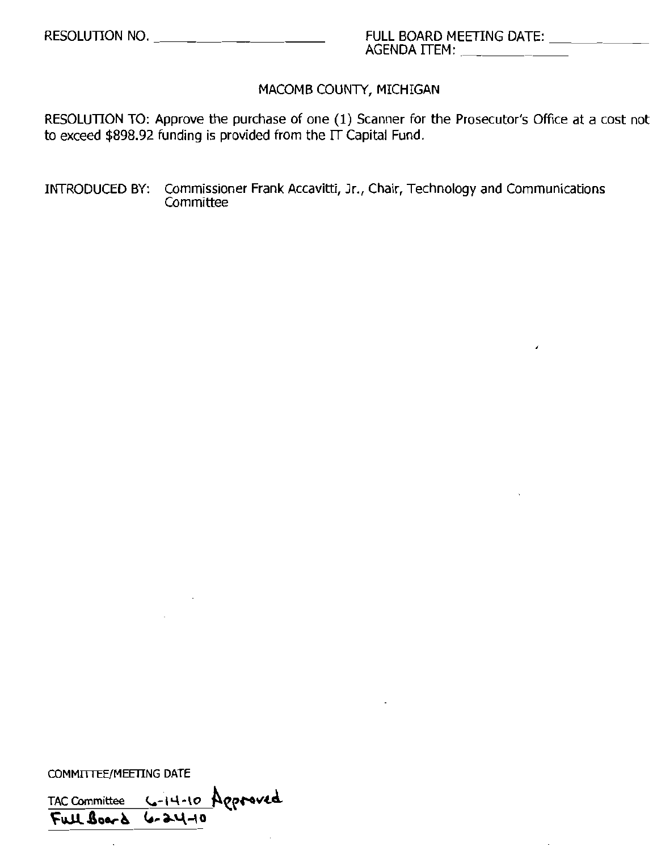$\lambda$ 

### MACOMB COUNTY, MICHIGAN

RESOLUTION TO: Approve the purchase of one (1) Scanner for the Prosecutor's Office at a cost not to exceed \$898.92 funding is provided from the  $\overline{\Gamma}$  Capital Fund.

INTRODUCED BY: Commissioner Frank Accavitti, Jr., Chair, Technology and Communications **Committee** 

COMMITTEE/MEETING DATE

 $\ddot{\phantom{a}}$ 

TAC Committee <u>6-14-10</u> Approved  $\overline{F \cup L}$  Board 6-24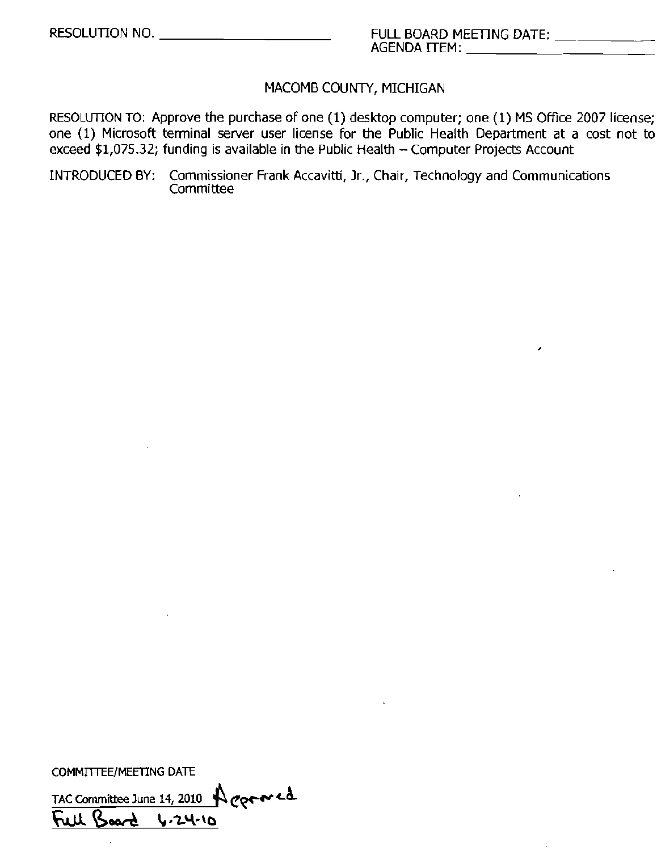,

### MACOMB COUNTY, MICHIGAN

RESOLUTION TO: Approve the purchase of one (1) desktop computer; one (1) MS Office 2007 license; one (1) Microsoft terminal server user license for the Public Health Department at a cost not to  $exceed$  \$1,075.32; funding is available in the Public Health  $-$  Computer Projects Account

INTRODUCED BY: Commissioner Frank Accavitti, Jr., Chair, Technology and Communications Committee

COMMITTEE/MEETING DATE

TAC Committee June 14, 2010 Acornic Full Board 4.24-10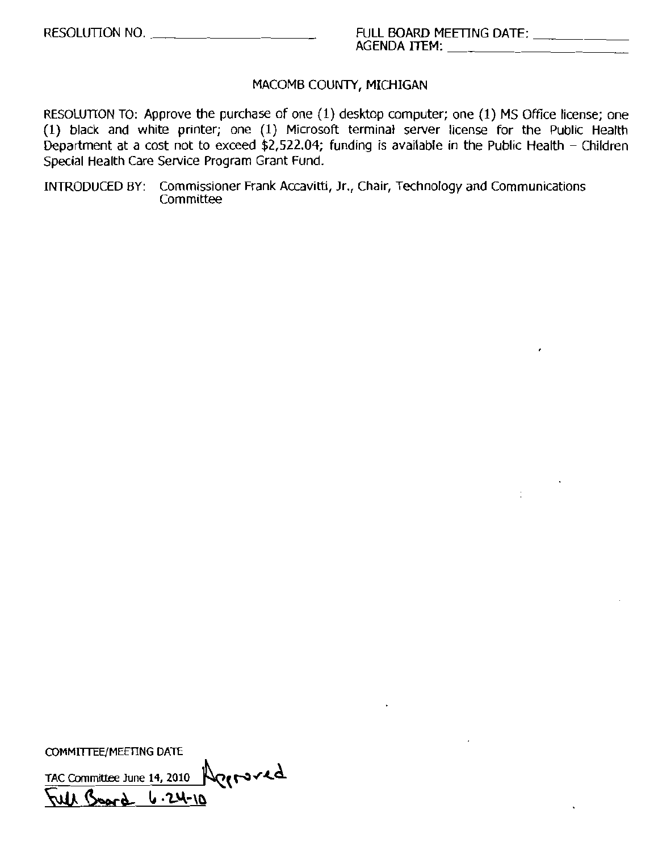### MACOMB COUNTY, MICHIGAN

RESOLUTION TO: Approve the purchase of one (I) desktop computer; one (I) MS Office license; one (I) black and white printer; one (I) Microsoft terminal server license for the Public Health Department at a cost not to exceed \$2,522.04; funding is available in the Public Health - Children Special Health Care Service Program Grant Fund.

INTRODUCED BY; Commissioner Frank Accavitti, Jr., Chair, Technology and Communications **Committee** 

COMMITTEE/MEETING DATE

 $TAC$  Committee June 14, 2010  $\bigwedge_{P} \{r \cdot x \cdot d\}$  $\mu$  Board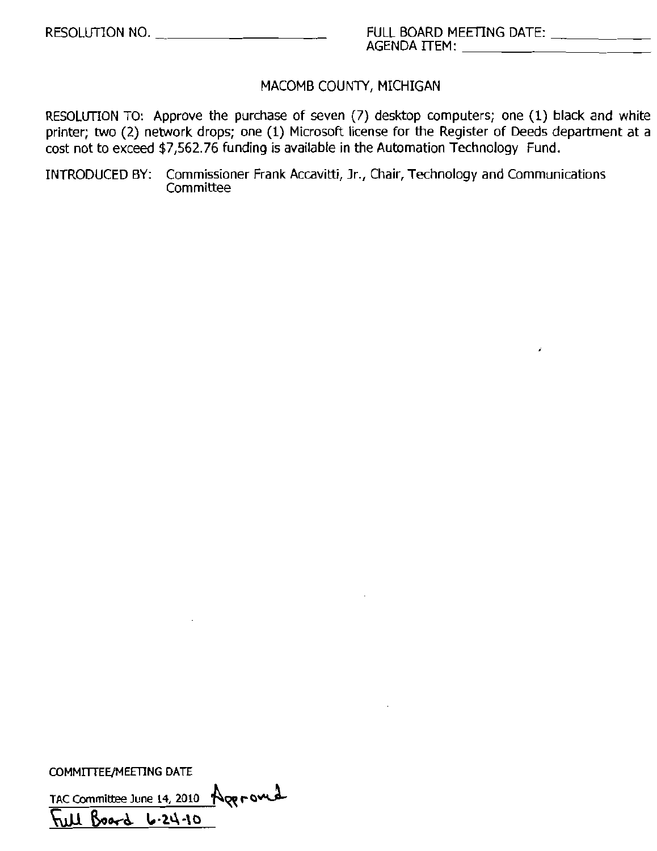### MACOMB COUNTY, MICHIGAN

RESOLUTION TO: Approve the purchase of seven (7) desktop computers; one (1) black and white printer; two (2) network drops; one (1) Microsoft license for the Register of Deeds department at a cost not to exceed \$7,562.76 funding is available in the Automation Technology Fund.

INTRODUCED BY: Commissioner Frank Accavitti, Jr., Chair, Technology and Communications Committee

COMMITTEE/MEETING DATE

TAC Committee June 14, 2010 Ager ourd  $Board 6.24.10$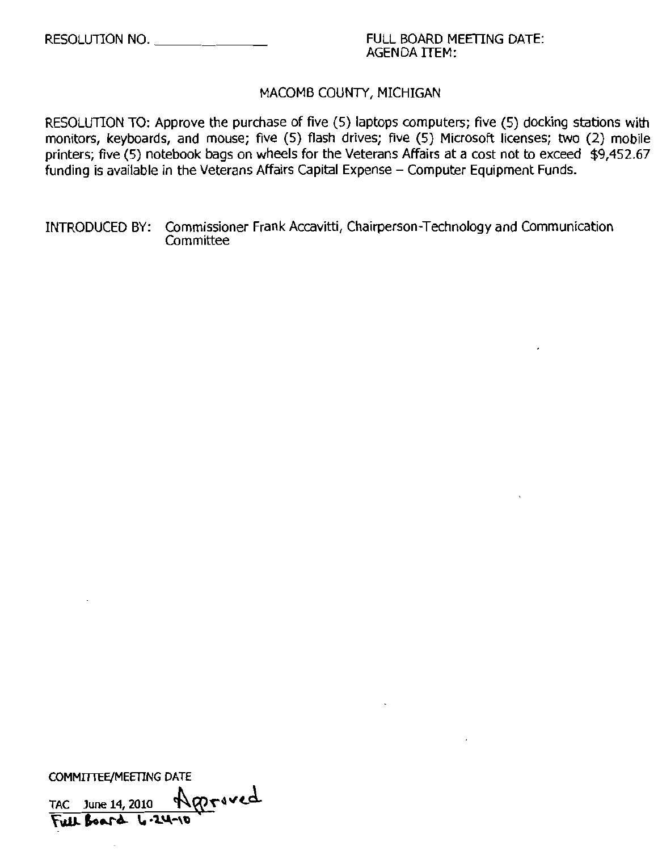### RESOLUTION NO. 4 A RESOLUTION NO. AGENDA ITEM:

### MACOMB COUNTY, MICHIGAN

RESOLUTION TO: Approve the purchase of five (5) laptops computers; five (5) docking stations with monitors, keyboards, and mouse; five (5) flash drives; five (5) Microsoft licenses; two (2) mobile printers; five (5) notebook bags on wheels for the Veterans Affairs at a cost not to exceed \$9,452.67 funding is available in the Veterans Affairs Capital Expense – Computer Equipment Funds.

INTRODUCED BY: Commissioner Frank Accavitti, Chairperson-Technology and Communication **Committee** 

COMMITTEE/MEETING DATE

TAC June 14, 2010  $\sqrt{N}$   $\sqrt{N}$ FULL BOAT& 4.24-10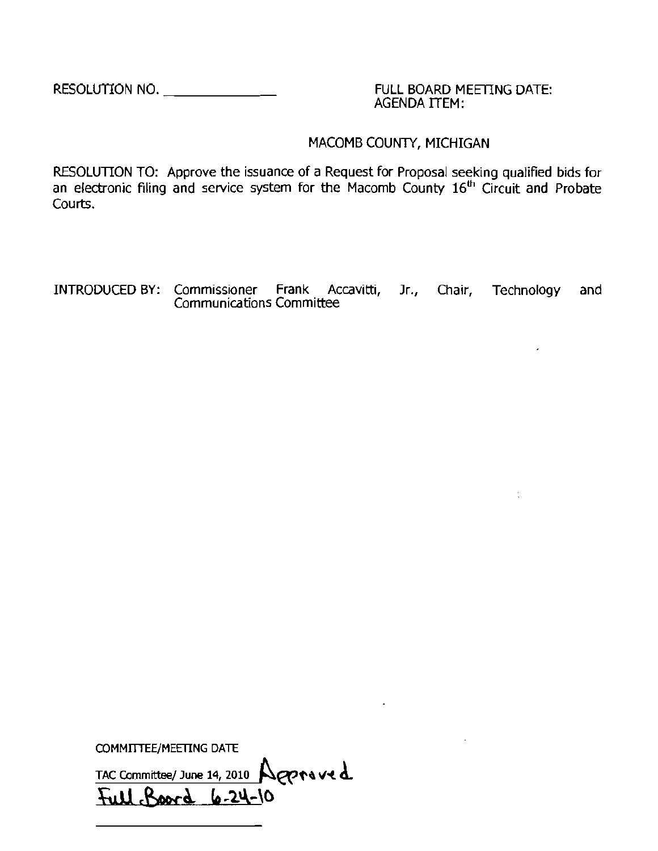RESOLUTION NO.  $\qquad \qquad \qquad$  FULL BOARD MEETING DATE:

AGENDA ITEM:

 $\frac{1}{\sqrt{2}}$ 

### MACOMB COUNTY, MICHIGAN

 $\mathbf{r}$ 

RESOLUTION TO: Approve the issuance of a Request for Proposal seeking qualified bids for an electronic filing and service system for the Macomb County 16<sup>th</sup> Circuit and Probate Courts.

INTRODUCED BY: Commissioner Frank Accavitti, Jr., Chair, Technology and Communications Committee

COMMITTEE/MEETING DATE TAC Committee/ June 14, 2010  $\bigcap_{\alpha\in\mathcal{C}}$ .£LU ~o.. **1o.'2.I.\-\()**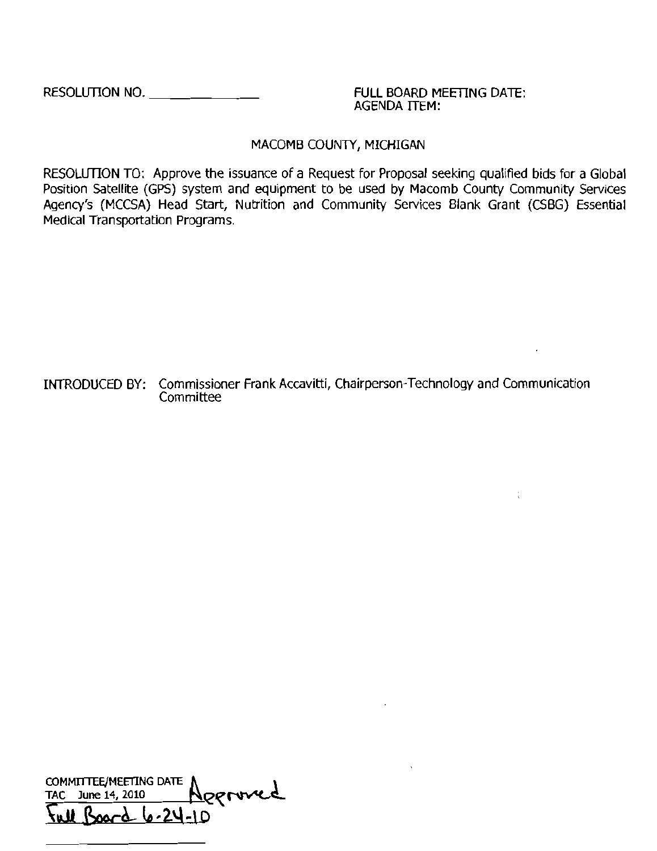RESOLUTION NO. \_ FULL BOARD MEETING DATE:

AGENDA ITEM:

 $\Delta \phi$ 

### MACOMB COUNTY, MICHIGAN

RESOLUTION TO: Approve the issuance of a Request for Proposal seeking qualified bids for a Global Position Satellite (GPS) system and eqUipment to be used by Macomb County Community Services Agency's (MCCSA) Head Start, Nutrition and Community Services Blank Grant (CSBG) Essential Medical Transportation Programs.

INTRODUCED BY: Commissioner Frank Accavitti, Chairperson-Technology and Communication **Committee** 

COMMITTEE/MEETING DATE Approved TAC June  $14$ ,  $2010$ <u>vul Board 6-24-10</u>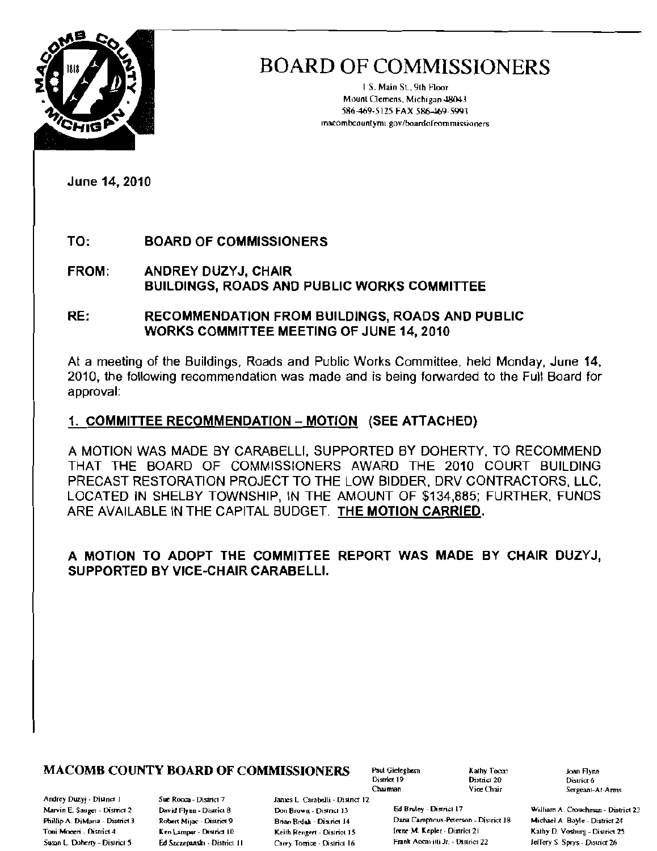

[ S. Main SL, 9th Hoor MounlClemens, Michigan 48043 586-469-5125 FAX 586-469-5991 In~ombcountyml\_go\l/boardof~mmissioners

June 14,2010

TO: BOARD OF COMMISSIONERS

FROM: ANDREY DUZYJ, CHAIR BUILDINGS, ROADS AND PUBLIC WORKS COMMITIEE

### RE: RECOMMENDATION FROM BUILDINGS, ROADS AND PUBLIC WORKS COMMITTEE MEETING OF JUNE 14, 2010

At a meeting of the Buildings, Roads and Public Works Committee, held Monday, June 14, 2010, the following recommendation was made and is being forwarded to the FuJI Board for approval:

### 1, COMMITTEE RECOMMENDATION - MOTION (SEE ATTACHED)

A MOTION WAS MADE BY CARABELLI, SUPPORTED BY DOHERTY, TO RECOMMEND THAT THE BOARD OF COMMISSIONERS AWARD THE 2010 COURT BUILDING PRECAST RESTORATION PROJECT TO THE LOW BIDDER, DRV CONTRACTORS, LLC, LOCATED IN SHELBY TOWNSHIP, IN THE AMOUNT OF \$134,885; FURTHER, FUNDS ARE AVAILABLE IN THE CAPITAL BUDGET. THE MOTION CARRIED.

### A MOTION TO ADOPT THE COMMITIEE REPORT WAS MADE BY CHAIR DUZYJ, SUPPORTED BY VICE-CHAIR CARABELLI,

### **MACOMB COUNTY BOARD OF COMMISSIONERS** Paul Gielegbern Kathy Tocay and Flynn<br>District 20 District of the District of the District of the District of the District of the District of the District of the District of the Dist

Andrey Duzyj - Diµrict J. S. Sue Rocca - District 7 Janes L. Carabelli - District 12

District 19 District 20 District 6<br>Chairman District Serverant-

Marvin E. Sauger - Dismict 2 David Flynn - District 8 Don Brown - District 13 Ed Brukey - District 17 William A. Crouchman - District 23 Phillip A. DiMaria - District 3 Robert Mijac - District 9 Brian Brian Brian Blian 14 Dana Camphous-Peterson - District 18 Michael A Boyle - District 24 Billion 25 Michael A Billion 25 Michael A Billion 25 Michael A Billion Toni Moceri - District 4 Ken Lampar - District 10 Keith Rengert - District 15 Irene M. Kepler - District 21 Kathy D. Vosburg - District 25 Susan L. Daherty - District 5 Ed Szczepanski - District JI Carey Tomice - District 16 Frank Accavitti Jr. - District 22 Jeffery S Sprys - District 26

Sergeant-At-Arms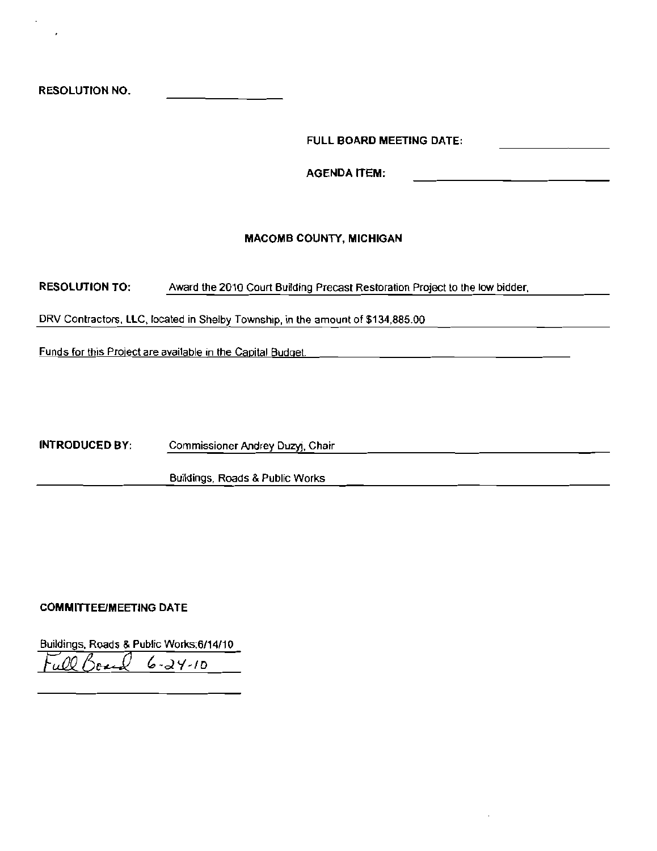RESOLUTION NO.

FULL BOARD MEETING DATE:

**AGENDA ITEM:** 

#### MACOMB COUNTY, MICHIGAN

RESOLUTION TO, Award the 2010 Court Building Precast Restoration Project to the low bidder,

DRV Contractors. llC, located in Shelby Township, in lhe amount of \$134,885.00

Funds for this Project are available in the Capital Budget.

INTRODUCED BY, Commissioner Andrey Duzyj, Chair

Buildings, Roads & Public Works

#### **COMMITTEE/MEETING DATE**

Buildings, Roads & Public Works:6/14/10 *Ful2Q6J* C,-d'f-ID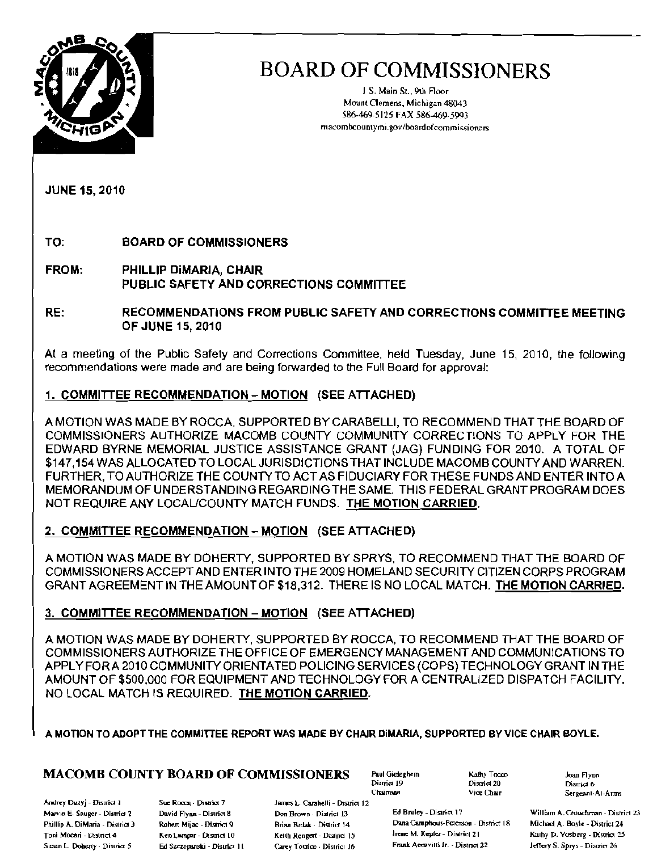

J S. Main St.. 91h Floor Mount Clemens, Michigan 48043 586-469-5125 FAX 586-469-5993 macombcountymi.gov/boardofcommissioners.

JUNE 15, 2010

TO: BOARD OF COMMISSIONERS

- FROM: PHILLIP DiMARIA, CHAIR PUBLIC SAFETY AND CORRECTIONS COMMITIEE
- RE: RECOMMENDATIONS FROM PUBLIC SAFETY AND CORRECTIONS COMMITTEE MEETING OF JUNE 15,2010

Al a meeting of the Public Safety and Corrections Committee, held Tuesday, June 15, 2010, the following recommendations were made and are being forwarded to the Full Board for approval:

### 1. COMMITTEE RECOMMENDATION - MOTION (SEE ATTACHED)

A MOTION WAS MADE BY ROCCA, SUPPORTED BY CARABELLI, TO RECOMMEND THAT THE BOARD OF COMMISSIONERS AUTHORIZE MACOMB COUNTY COMMUNITY CORRECTIONS TO APPLY FOR THE EDWARD BYRNE MEMORIAL JUSTICE ASSISTANCE GRANT (JAG) FUNDING FOR 2010. A TOTAL OF \$147,154 WAS ALLOCATED TO LOCAL JURISDICTIONS THAT INCLUDE MACOMB COUNTY AND WARREN. FURTHER, TO AUTHORIZE THE COUNTY TO ACT AS FIDUCIARY FOR THESE FUNDS AND ENTER INTO A MEMORANDUM OF UNDERSTANDING REGARDING THE SAME. THIS FEDERAL GRANT PROGRAM DOES NOT REQUIRE ANY LOCAUCOUNTY MATCH FUNDS. THE MOTION CARRIED.

### 2. COMMITTEE RECOMMENDATION - MOTION (SEE ATTACHED)

A MOTION WAS MADE BY DOHERTY, SUPPORTED BY SPRYS, TO RECOMMEND THAT THE BOARD OF COMMISSIONERS ACCEPT AND ENTER INTO THE 2009 HOMELAND SECURITY CITIZEN CORPS PROGRAM GRANT AGREEMENT IN THE AMOUNT OF \$18,312. THERE IS NO LOCAL MATCH. THE MOTiON CARRIED.

### 3. COMMITIEE RECOMMENDATION -MOTION (SEE ATIACHED)

A MOTION WAS MADE BY DOHERTY, SUPPORTED BY ROCCA, TO RECOMMEND THAT THE BOARD OF COMMISSIONERS AUTHORIZE THE OFFICE OF EMERGENCY MANAGEMENT AND COMMUNICATIONS TO APPLY FOR A 2010 COMMUNITY ORIENTATED POLICING SERVICES (COPS) TECHNOLOGY GRANT IN THE AMOUNT OF \$500,000 FOR EQUIPMENT AND TECHNOLOGY FOR A CENTRALIZED DISPATCH FACILITY. NO LOCAL MATCH IS REQUIRED. THE MOTION CARRIED.

A MOTION TO ADOPT THE COMMITTEE REPORT WAS MADE BY CHAIR DIMARIA, SUPPORTED BY VICE CHAIR BOYLE.

### $\textbf{MACOMB}\textbf{ COUNTY BOARD OF COMMISSIONERS}\begin{array}{l} \text{Paul Gideghem} \text{ Ruthy Tocco} \end{array} \begin{array}{l} \text{Kathy Tocco} \end{array} \begin{array}{l} \text{Macay Tocco} \end{array} \begin{array}{l} \text{Macay Tocco} \end{array} \begin{array}{l} \text{Macay Tocco} \end{array} \begin{array}{l} \text{Macay Tocco} \end{array} \begin{array}{l} \text{Macay Tocco} \end{array} \begin{array}{l} \text{Macay Tocco} \end{array} \begin{array}{l} \text{Macay$

Andrey Duzyj - District I Sue Rocca, District 7

James L. Carabelli - District 12 Susan L. Doherty - District 5 Ed Szezepanski - District 11 Carey Tomice - District 16 Frank Accavitti Ir. - District 22 Jeffery S. Sprys - District 26

Chaimnen

District 20<br>Vice Chair

Phillip A. DiMaria - District 3 Roher, Mijac - District 9 Brian Brdak - District 14 Dana Camphous-Peterson - District 18 Michael A. Boyle - District 24 Toni Moceri - District 4 Ken Lampor - Disnict 10 Keith Rengert - District 15 Irene M. Kepler - District 21 Kathy D. Vosburg - District 25

Sergeant-At-Arms

Marvin E. Sauger - District 2 David Hynn - District 8 Don Brown - District 13 Ed Bruley - District 17 William A. Crouchman - District 23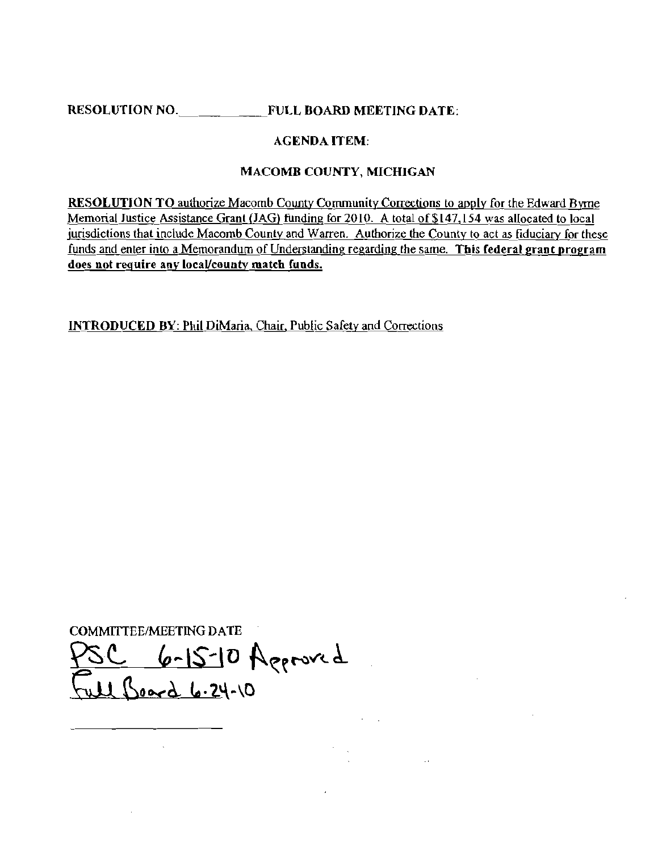RESOLUTION NO. **EVILL BOARD MEETING DATE:** 

### AGENDA ITEM;

### MACOMB COUNTY, MICHIGAN

<u>ra Byrn</u><br><u>to local</u><br>v for the RESOLUTION TO authorize Macomb County Community Corrections to apply for the Edward Byrne Memorial Justice Assistance Grant (JAG) funding for 2010. A total 0[\$147,154 was allocated to local  $j$ urisdictions that include Macomb County and Warren. Authorize the County to act as fiduciary for these funds and enter into a Memorandum of Understanding regarding the same. This federal grant program does not require any local/county match funds.

INTRODUCED BY: Phil DiMaria, Chair. Public Safely and Corrections

COMMITTEE/MEETING DATE

 $2 - 6 - 15 - 10$  Aggroved  $\bigcup_{\alpha\in A} \iota_{\alpha} \cdot 24 - 10$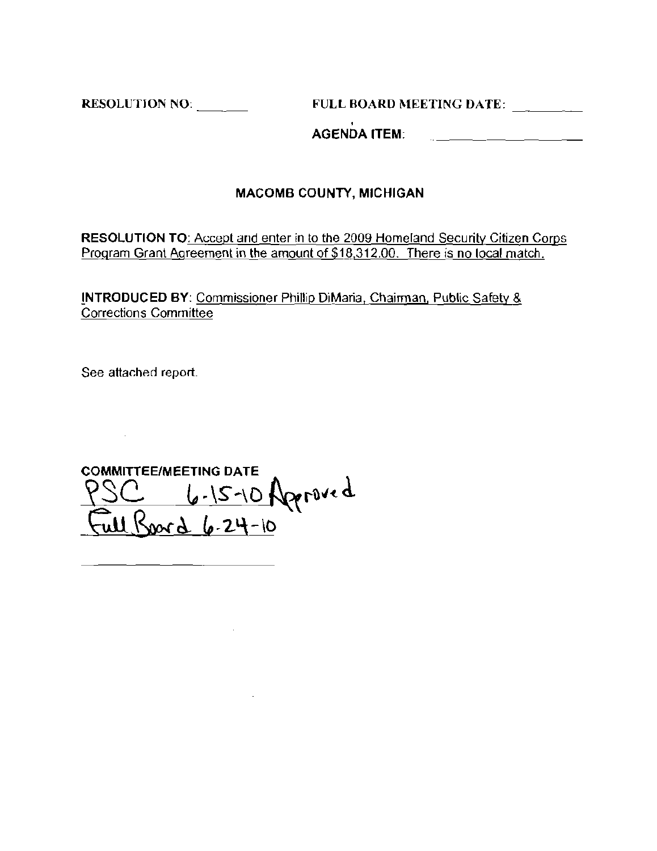RESOLUTION NO: FULL BOARD MEETING DATE:

, AGENDA ITEM:

### MACOMB COUNTY, MICHIGAN

RESOLUTION TO: Accept and enter in to the 2009 Homeland Security Citizen Corps Program Grant Agreement in the amount of \$18,312.00. There is no local match.

!NTRODUCED BY: Commissioner Phillip DiMaria, Chairman, Public Safety & **Corrections Committee** 

See attached report.

COMMITIEE/MEETING DATE  $\frac{1}{2}$  6-15-10 Ageroved  $\frac{1}{2}ul\beta_{0}ord_{6-2}4-n$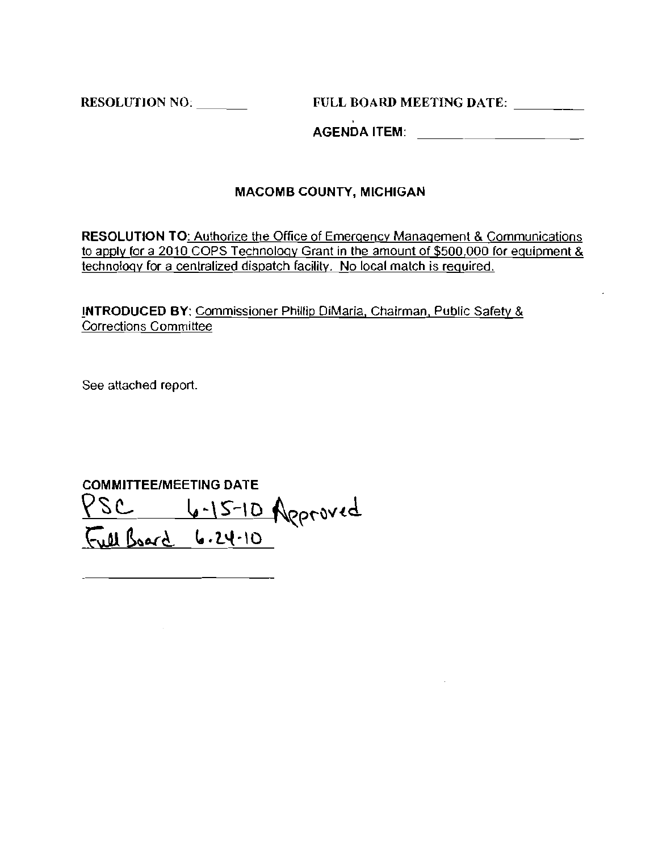**RESOLUTION NO. FULL BOARD MEETING DATE:** 

**AGENDA ITEM:** 

### **MACOMB COUNTY, MICHIGAN**

**RESOLUTION** TO: Authorize the Office of Emergency Management & Communications to apply for a 2010 COPS Technology Grant in the amount of \$500,000 for equipment & **technology for a centralized dispatch facility. No local match is required.** 

**!NTRODUCED** BY: Commissioner Phillip DiMaria, Chairman, Public Safety & **Corrections Committee** 

**See attached report.** 

**COMMITTEE/MEETING DATE**  SC <u>6-15-10</u> Approved  $\sqrt{24.8}$  board 6.24.10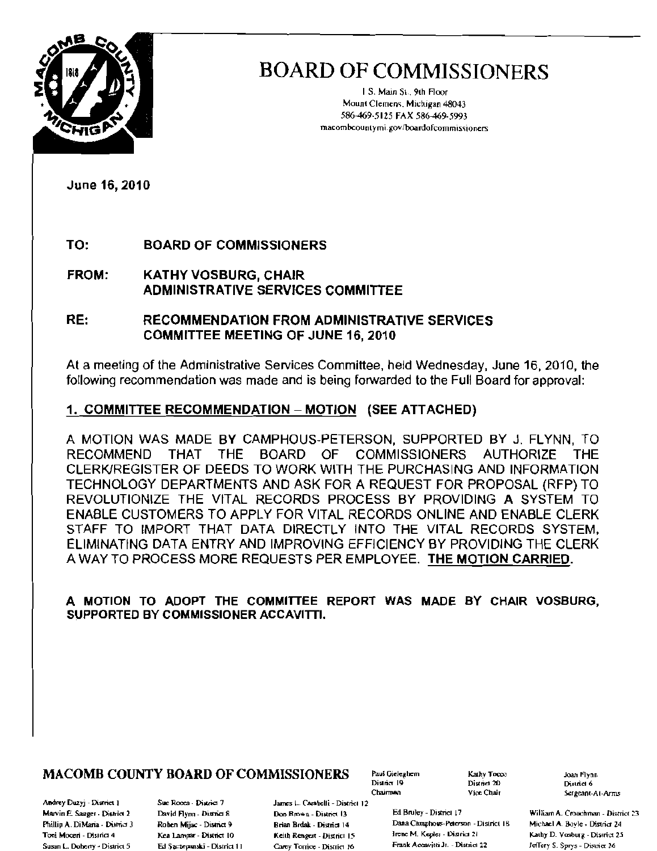

I S. Main SI. 9th Floor Mount Clemens, Michigan 48043 586-469-5125 FAX 586-469-5993 rnacombcounlymi.govlboardofcommi5sioners

June 16,2010

### TO: BOARD OF COMMISSIONERS

FROM: KATHY VOSBURG, CHAIR ADMINISTRATIVE SERVICES COMMITTEE

RE: RECOMMENDATION FROM ADMINISTRATIVE SERVICES COMMITTEE MEETING OF JUNE 16, 2010

At a meeting of the Administrative Services Committee, held Wednesday, June 16, 2010, the folloWing recommendation was made and is being forwarded to the Full Board for approval:

### 1, COMMITTEE RECOMMENDATION - MOTION (SEE ATTACHED)

A MOTION WAS MADE BY CAMPHOUS·PETERSON, SUPPORTED BY J. FLYNN, TO RECOMMEND THAT THE BOARD OF COMMISSIONERS AUTHORIZE THE CLERK/REGISTER OF DEEDS TO WORK WITH THE PURCHASING AND INFORMATION TECHNOLOGY DEPARTMENTS AND ASK FOR A REQUEST FOR PROPOSAL (RFP) TO REVOLUTIONIZE THE VITAL RECORDS PROCESS BY PROVIDING A SYSTEM TO ENABLE CUSTOMERS TO APPLY FOR VITAL RECORDS ONLINE AND ENABLE CLERK STAFF TO IMPORT THAT DATA DIRECTLY INTO THE VITAL RECORDS SYSTEM, ELIMINATING DATA ENTRY AND IMPROVING EFFICIENCY BY PROVIDING THE CLERK A WAY TO PROCESS MORE REQUESTS PER EMPLOYEE. THE MOTION CARRIED.

A MOTION TO ADOPT THE COMMITTEE REPORT WAS MADE BY CHAIR VOSBURG, SUPPORTED BY COMMISSIONER ACCAVITTI.

### $MACOMB$  COUNTY BOARD OF COMMISSIONERS Faul Gieleghem  $\begin{array}{ccc} \text{Karky Teccov} & \text{J}\text{Oan Flynn} \ \text{Dispid 20} & \text{Dispid 20} \end{array}$

Andrey Duzyj - District 1 Sue Rocca - District 7 Phillip A, DiMaria - District 3 Tosi Moceri - District 4<br>Susan L. Doherty - District 5

Roben Mijac - Dismct 9 Ken Lampar - District 10 James L. Carabelli - District 12 Brian Brdak - District 14 Keith Rengert - District 15

Chairman

District 20<br>Vice Chair

Marvin E. Sauger - District 2 David Flynn - District 8 Don Brown - District 13 Ed Bruley - District 17 William A. Crouchman - District 23 Dana Camphous-Peterson - District 18 Irene M. Kepler - District 21 Ed Szczepanski - District 11 Carey Torrice - District 16 Frank Accavitti Jr. - District 22 Jeffery S. Sprys - District 26

Sergeant-At-Arms

Michael A. Boyle - District 24 Kathy D. Vosburg - District 25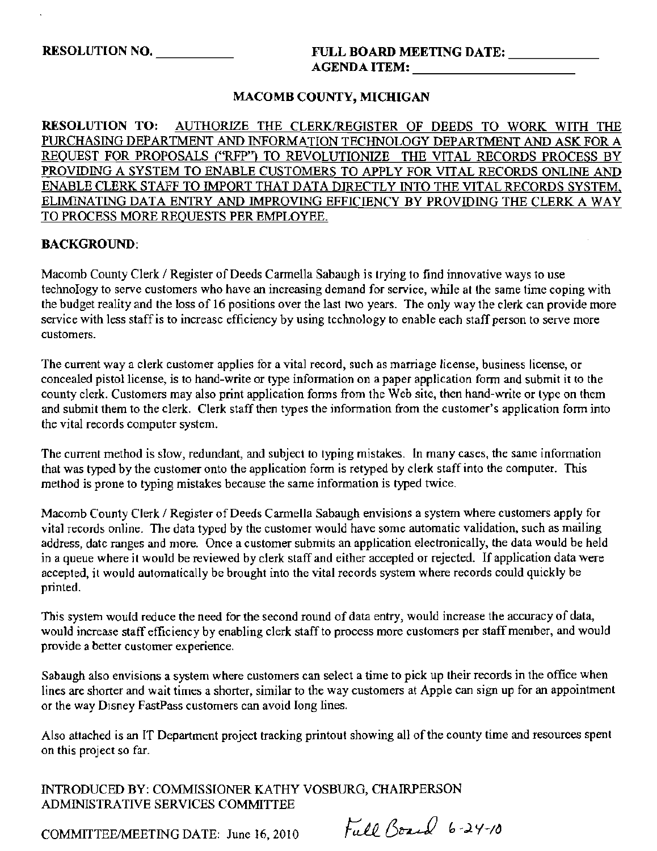### RESOLUTION NO.  $\qquad \qquad \text{FULL BOARD MERTING DATE: }$ AGENDA ITEM: \_

### MACOMB COUNTY, MICHIGAN

RESOLUTION TO: AUTHORIZE THE CLERKJREGISTER OF DEEDS TO WORK WITH THE PURCHASING DEPARTMENT AND INFORMATION TECHNOLOGY DEPARTMENT AND ASK FOR A REQUEST FOR PROPOSALS ("RFP") TO REVOLUTIONIZE THE VITAL RECORDS PROCESS BY PROVIDING A SYSTEM TO ENABLE CUSTOMERS TO APPLY FOR VITAL RECORDS ONLINE AND ENABLE CLERK STAFF TO IMPORT THAT DATA DIRECTLY INTO THE VITAL RECORDS SYSTEM, ELIMINATING DATA ENTRY AND IMPROVING EFFICIENCY BY PROVIDING THE CLERK A WAY TO PROCESS MORE REQUESTS PER EMPLOYEE.

### BACKGROUND:

Macomb County Clerk / Register of Deeds Carmella Sabaugh is trying to find innovative ways to use technology to serve customers who have an increasing demand for service, while al the same time coping with the budget reality and the loss of 16 positions over the last two years. The only way the clerk can provide more service with less staff is to increase efficiency by using technology to enable each staff person to serve more customers.

The current way a clerk customer applies for a vital record, such as marriage license, business license, or concealed pistol license, is to hand-write or type infonnation on a paper application form and submit it to the county clerk. Customers may also print application fonns from the Web site, then hand-write or type on them and submit them to the clerk. Clerk staff then types the information from the customer's application fonn into the vital records computer system.

The current method is slow, redundant, and subject to typing mistakes. In many cases, the same information that was typed by the customer onto the application form is retyped by clerk staff into the computer. This method is prone to typing mistakes because the same information is typed twice.

Macomb County Clerk / Register of Deeds Carmella Sabaugh envisions a system where customers apply for vital records online. The data typed by the customer would have some automatic validation, such as mailing address, datc ranges and more. Once a customer submits an application electronically, the data would be held in a queue where it would be reviewed by clerk staff and either accepted or rejected. If application data were accepted, it would automatically be brought into the vital records system where records could quickly be printed.

This system would reduce the need for the second round of data entry, would increase the accuracy of data, would increase staff efficiency by enabling clerk staff to process more customers per staff member, and would provide a better customer experience.

Sabaugh also envisions a system where customers can select a time to pick up their records in the office when lines are shorter and wait times a shorter, similar to the way customers at Apple can sign up for an appointment or the way Disney FastPass customers can avoid long lines.

Also attached is an IT Department project tracking printout showing all ofthe county time and resources spent on this project so far.

INTRODUCED BY: COMMISSIONER KATHY VOSBURG, CHAIRPERSON ADMINISTRATIVE SERVICES COMMITTEE

COMMITTEE/MEETING DATE: June 16, 2010

Full Board 6-24-10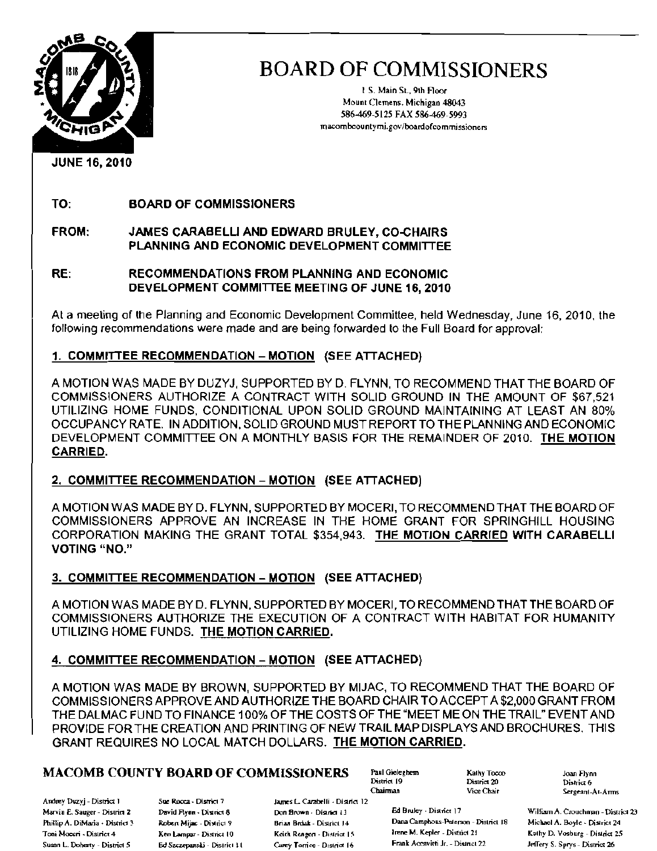

I S. Main St., 9th Floor Mount Clemens. Michigan 48043 586-469-5125 FAX 586-469-5993 macombcountymi.gov/boardofcommissioners

JUNE 16, 2010

TO: BOARD OF COMMISSIONERS

### FROM: JAMES CARABELLI AND EDWARD BRULEY, CO-CHAIRS PLANNING AND ECONOMIC DEVELOPMENT COMMITTEE

### RE: RECOMMENDATIONS FROM PLANNING AND ECONOMIC DEVELOPMENT COMMITTEE MEETING OF JUNE 16, 2010

At a meeting of the Planning and Economic Development Committee, held Wednesday, June 16, 2010, the following recommendations were made and are being forwarded to the Full Board for approval:

### 1. COMMITTEE RECOMMENDATION - MOTION (SEE ATTACHED)

A MOTION WAS MADE BY DUZYJ, SUPPORTED BY D. FLYNN, TO RECOMMEND THAT THE BOARD OF COMMISSIONERS AUTHORIZE A CONTRACT WITH SOLID GROUND IN THE AMOUNT OF \$67,521 UTILIZING HOME FUNDS, CONDITIONAL UPON SOLID GROUND MAINTAINING AT LEAST AN 80% OCCUPANCY RATE. IN ADDITION, SOLID GROUND MUST REPORTTO THE PLANNING AND ECONOMIC DEVELOPMENT COMMITTEE ON A MONTHLY BASIS FOR THE REMAINDER OF 2010. THE MOTION CARRIED.

### 2. COMMITTEE RECOMMENDATION - MOTION (SEE ATTACHED)

A MOTION WAS MADE BY D. FLYNN, SUPPORTED BY MOCERI, TO RECOMMEND THAT THE BOARD OF COMMISSIONERS APPROVE AN INCREASE IN THE HOME GRANT FOR SPRINGHILL HOUSING CORPORATION MAKING THE GRANT TOTAL \$354,943. THE MOTION CARRIED WITH CARABELLI **VOTING** "NO."

### 3. COMMITTEE RECOMMENDATION - MOTION (SEE ATTACHED)

AMOTION WAS MADE BYD. FLYNN, SUPPORTED BY MOCERI, TO RECOMMEND THAT THE BOARD OF COMMISSIONERS AUTHORIZE THE EXECUTION OF A CONTRACT WITH HABITAT FOR HUMANITY UTILIZING HOME FUNDS. THE MOTION CARRIED,

### 4. COMMITTEE RECOMMENDATION - MOTION (SEE ATTACHED)

A MOTION WAS MADE BY BROWN, SUPPORTED BY MIJAC, TO RECOMMEND THAT THE BOARD OF COMMISSIONERS APPROVE AND AUTHORIZE THE BOARD CHAIR TO ACCEPT A \$2,000 GRANT FROM THE DALMAC FUND TO FINANCE 100% OF THE COSTS OF THE "MEET ME ON THE TRAIL" EVENT AND PROVIDE FOR THE CREATION AND PRINTING OF NEW TRAIL MAP DISPLAYS AND BROCHURES. THIS GRANT REQUIRES NO LOCAL MATCH DOLLARS. THE MOTION CARRIED.

### **MACOMB COUNTY BOARD OF COMMISSIONERS** Paul Gieleghem  $\frac{\text{Kally Tocov}}{\text{Distance } 20}$  Joan Flynn

Andrey Duzyj - District 1 Sue Rocca - District 7 James L. Carabelli - District 12 Susan L. Doherty - District 5 Ed Szczepanski - District II Carey Torrice - District 16 Frank Accavitti Jr. - District 22 Jeffery S. Sprys - District 26

District 19 District 20<br>Chairman Vice Chair

Sergeant-At-Arms

Marvin E. Sauger - District 2 David Aynn. District 8 Dan Brown. District 13 Ed Bruley. District 17 William A. Crouchman - District 23

Phillip A. DiMaria - Disniet 3 **Roben Mijac - Disniet 9 Brian Brdak** - Disniet 14 Dana Camphous-Pelerson - District 18 Michael A. Boyle - District 24 Brancher - Disniet 24 Brancher - District 19 Keith Renewa - District 15 Toni Moceri • Disirict 4 Ken Lampur - District 10 Keith Rengen - District 15 Irene M. Kepler - District 21 Kathy D. Vosburg - District 25<br>Susan L. Doberty - District S. S. Bet Sectement's District 14 Came Darios Databa - P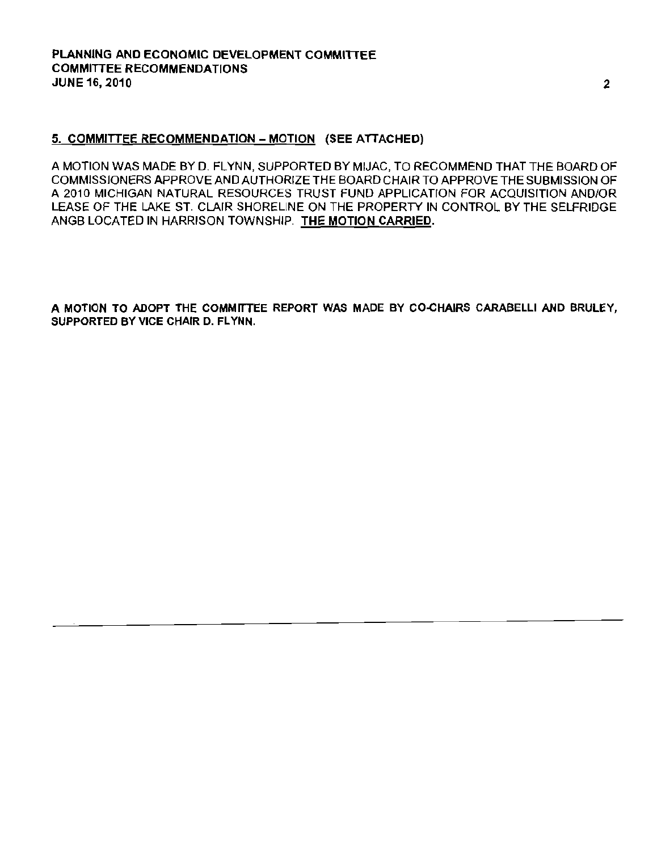### 5. COMMITIEE RECOMMENDATION - MOTION (SEE ATIACHED)

A MOTION WAS MADE BY D. FLYNN, SUPPORTED BY MIJAC, TO RECOMMEND THAT THE BOARD OF COMMISSIONERS APPROVE AND AUTHORIZE THE BOARD CHAIR TO APPROVE THE SUBMISSION OF A 2010 MICHIGAN NATURAL RESOURCES TRUST FUND APPLICATION FOR ACQUISITION AND/OR LEASE OF THE LAKE ST. CLAIR SHORELINE ON THE PROPERTY IN CONTROL BY THE SELFRIDGE ANGB LOCATED IN HARRISON TOWNSHIP. THE MOTION CARRIED.

A MOTION TO ADOPT THE COMMITTEE REPORT WAS MADE BY CO-CHAIRS CARABELLI AND BRULEY, SUPPORTED BY VICE CHAIR D. FLYNN.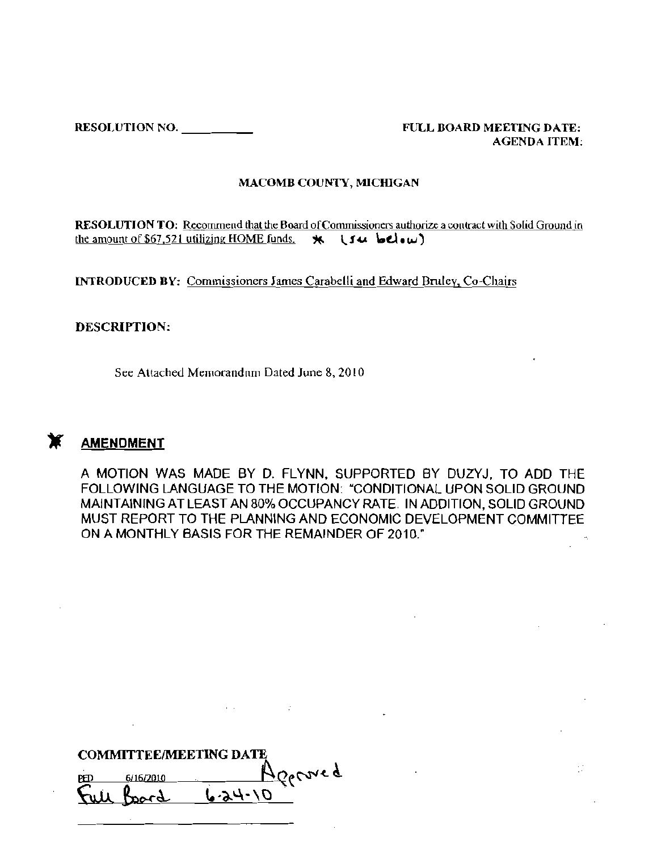RESOLUTION NO. \_ FULL BOARD MEETING DATE, AGENDA ITEM,

Φ

#### MACOMB COUNTY, M1CffiGAN

RESOLUTION TO: Recommend that the Board of Commissioners authorize a contract with Solid Ground in the amount of \$67,521 utilizing HOME funds.  $\star$ .  $\cdot$  **Su.**  $\cdot$  **del** $\cdot\omega$ )

INTRODUCED BY: Commissioners James Carabelli and Edward Emley, Co-Chairs

### DESCRIPTION:

See Attached Memorandnm Dated June 8, 2010



### **AMENDMENT**

A MOTION WAS MADE BY D. FLYNN, SUPPORTED BY DUZYJ, TO ADD THE FOLLOWING LANGUAGE TO THE MOTION: "CONDITIONAL UPON SOLID GROUND MAINTAINING AT LEAST AN 80% OCCUPANCY RATE. IN ADDITION, SOLID GROUND MUST REPORT TO THE PLANNING AND ECONOMIC DEVELOPMENT COMMITTEE ON A MONTHLY BASIS FOR THE REMAINDER OF 2010:

 $\sim 10^6$ 

| <b>COMMITTEE/MEETING DATE</b> |                |  |  |  |  |  |
|-------------------------------|----------------|--|--|--|--|--|
| 6/16/2010<br>PED              | <i>Doctrig</i> |  |  |  |  |  |
| poign                         | レ・スリ・ハ         |  |  |  |  |  |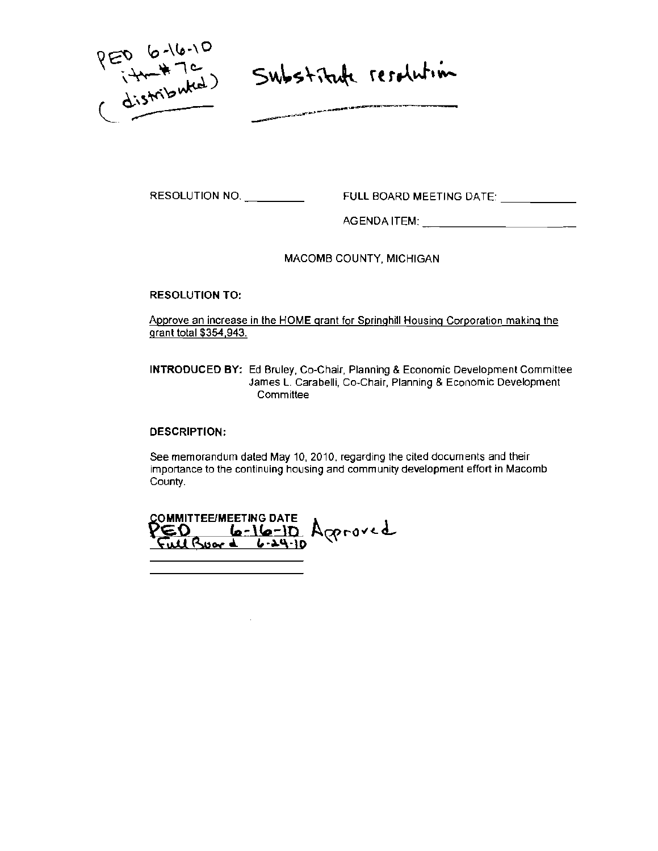$PER_{i+1}^{6-(16-10)}$ <br>(distributed)

Substitute resolution

RESOLUTION NO. \_ FULL BOARD MEETING DATE' \_

AGENDA ITEM: \_

MACOMB COUNTY, MICHIGAN

RESOLUTION TO:

**Approve an increase in the HOME grant for Springhill Housing Corporation making the granl total \$354,943.** 

**INTRODUCED BY: Ed Bruley, Co-Chair, Planning & Economic Development Committee James L. Carabelli, Co-Chair, Planning & Economic Development Committee** 

DESCRIPTION:

**See memorandum dated May 10, 2010, regarding the cited documents and their importance to the continuing housing and community development effort in Macomb County.** 

COMMITTEE/MEETING DATE<br>PED 6-16-10 Ageroved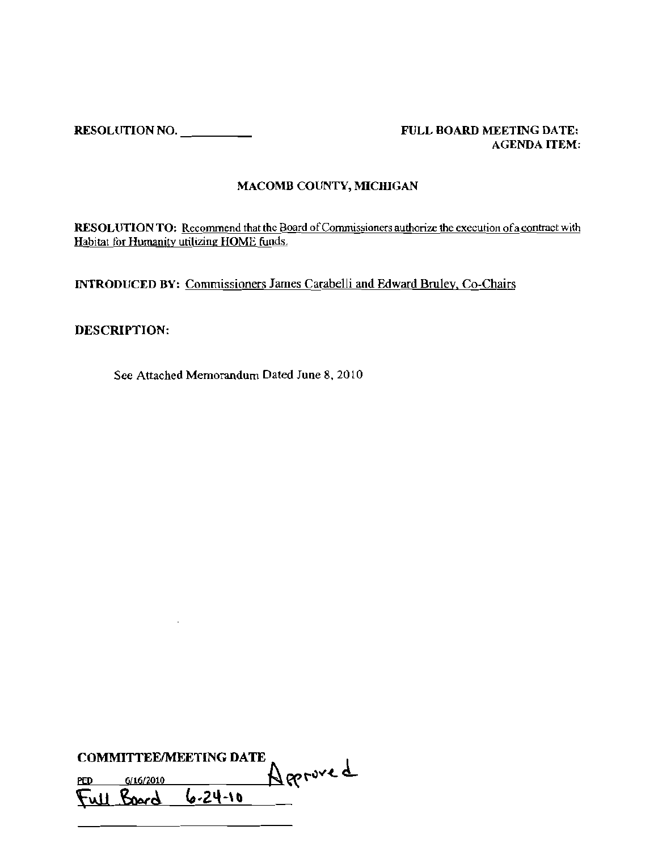RESOLUTION NO. \_ FULL BOARD MEETING DATE:

# AGENDA ITEM:

### MACOMB COUNTY, MICHIGAN

RESOLUTION TO: Recommend that the Board of Commissioners authorize the execution of a contract with Habitat for Humanity utilizing HOME funds.

INTRODUCED BY: Commissioners James Carabelli and Edward Bruley, Co-Chairs

### DESCRIPTION:

See Attached Memorandum Dated June 8, 2010

| <b>COMMITTEE/MEETING DATE</b> |           |                    |          |  |  |  |
|-------------------------------|-----------|--------------------|----------|--|--|--|
| ped                           | 6/16/2010 |                    | Approved |  |  |  |
|                               |           | Full Board 6.24-10 |          |  |  |  |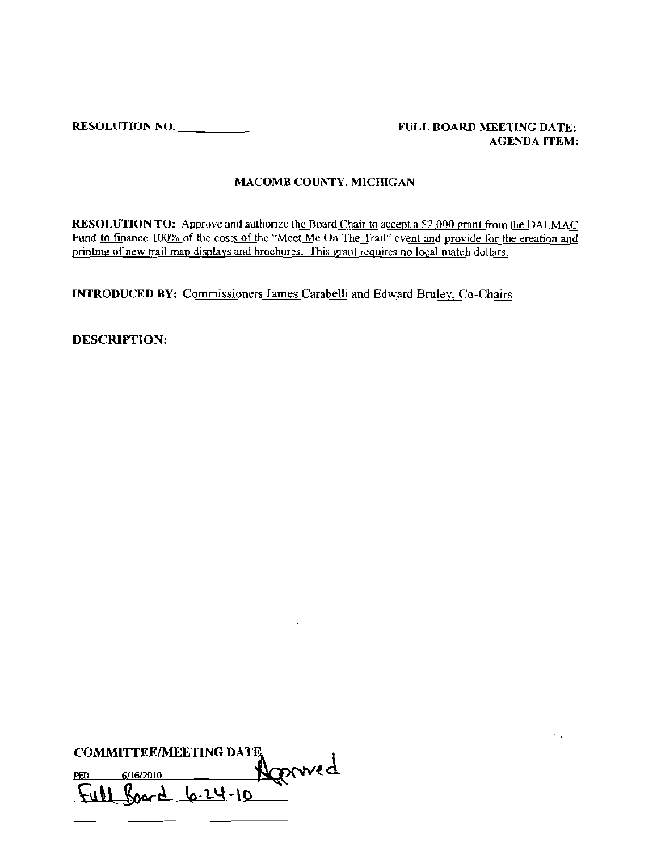RESOLIlTION NO. \_ FIlLL BOARD MEETING DATE:

# AGENDA ITEM:

 $\mathcal{F}(\mathcal{A})$  and

 $\sim 10^7$ 

### MACOMB COUNTY, MICffiGAN

RESOLUTION TO: Approve and authorize the Board Chair to accept a \$2,000 grant from the DALMAC Fund to finance 100% of the costs of the "Meet Me On The Trail" event and provide for the creation and printing of new trail map displays and brochures. This grant requires no local match dollars.

INTRODUCED BY: Commissioners lames Carabelli and Edward Bruley. Co-Chairs

 $\ddot{\phantom{0}}$ 

DESCRIPTION:

| <b>COMMITTEE/MEETING DATE</b> |           |                    |        |  |  |
|-------------------------------|-----------|--------------------|--------|--|--|
| РĐ                            | 6/16/2010 |                    | Konved |  |  |
|                               |           | Full Board 6.24-10 |        |  |  |